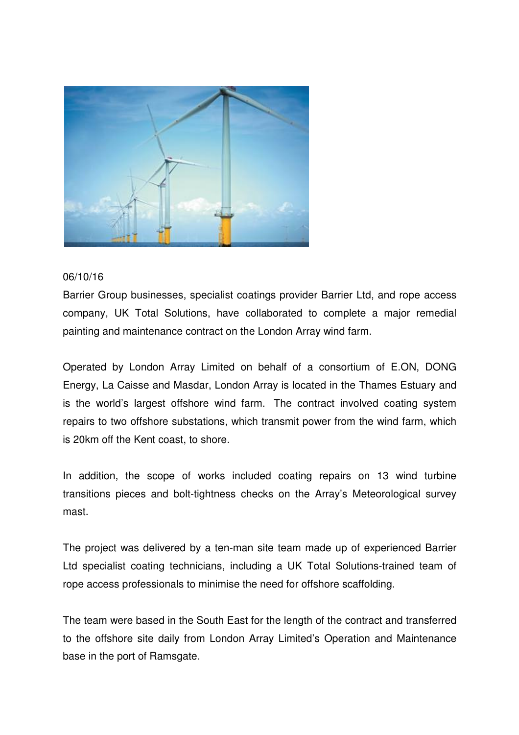

## 06/10/16

Barrier Group businesses, specialist coatings provider Barrier Ltd, and rope access company, UK Total Solutions, have collaborated to complete a major remedial painting and maintenance contract on the London Array wind farm.

Operated by London Array Limited on behalf of a consortium of E.ON, DONG Energy, La Caisse and Masdar, London Array is located in the Thames Estuary and is the world's largest offshore wind farm. The contract involved coating system repairs to two offshore substations, which transmit power from the wind farm, which is 20km off the Kent coast, to shore.

In addition, the scope of works included coating repairs on 13 wind turbine transitions pieces and bolt-tightness checks on the Array's Meteorological survey mast.

The project was delivered by a ten-man site team made up of experienced Barrier Ltd specialist coating technicians, including a UK Total Solutions-trained team of rope access professionals to minimise the need for offshore scaffolding.

The team were based in the South East for the length of the contract and transferred to the offshore site daily from London Array Limited's Operation and Maintenance base in the port of Ramsgate.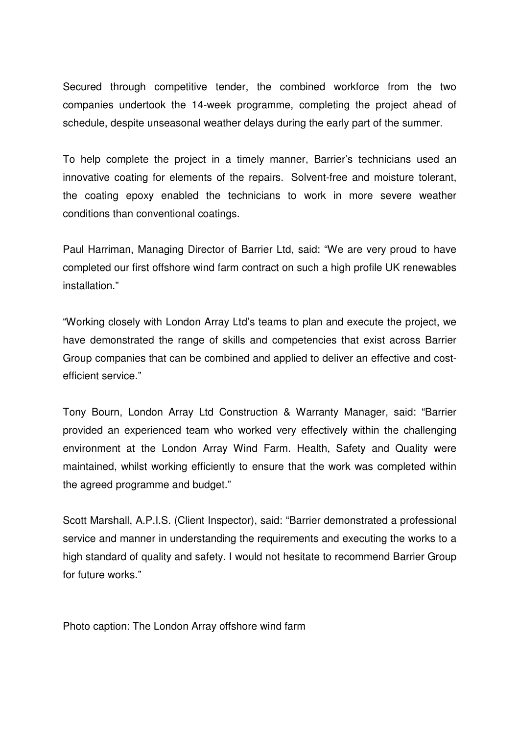Secured through competitive tender, the combined workforce from the two companies undertook the 14-week programme, completing the project ahead of schedule, despite unseasonal weather delays during the early part of the summer.

To help complete the project in a timely manner, Barrier's technicians used an innovative coating for elements of the repairs. Solvent-free and moisture tolerant, the coating epoxy enabled the technicians to work in more severe weather conditions than conventional coatings.

Paul Harriman, Managing Director of Barrier Ltd, said: "We are very proud to have completed our first offshore wind farm contract on such a high profile UK renewables installation."

"Working closely with London Array Ltd's teams to plan and execute the project, we have demonstrated the range of skills and competencies that exist across Barrier Group companies that can be combined and applied to deliver an effective and costefficient service."

Tony Bourn, London Array Ltd Construction & Warranty Manager, said: "Barrier provided an experienced team who worked very effectively within the challenging environment at the London Array Wind Farm. Health, Safety and Quality were maintained, whilst working efficiently to ensure that the work was completed within the agreed programme and budget."

Scott Marshall, A.P.I.S. (Client Inspector), said: "Barrier demonstrated a professional service and manner in understanding the requirements and executing the works to a high standard of quality and safety. I would not hesitate to recommend Barrier Group for future works."

Photo caption: The London Array offshore wind farm